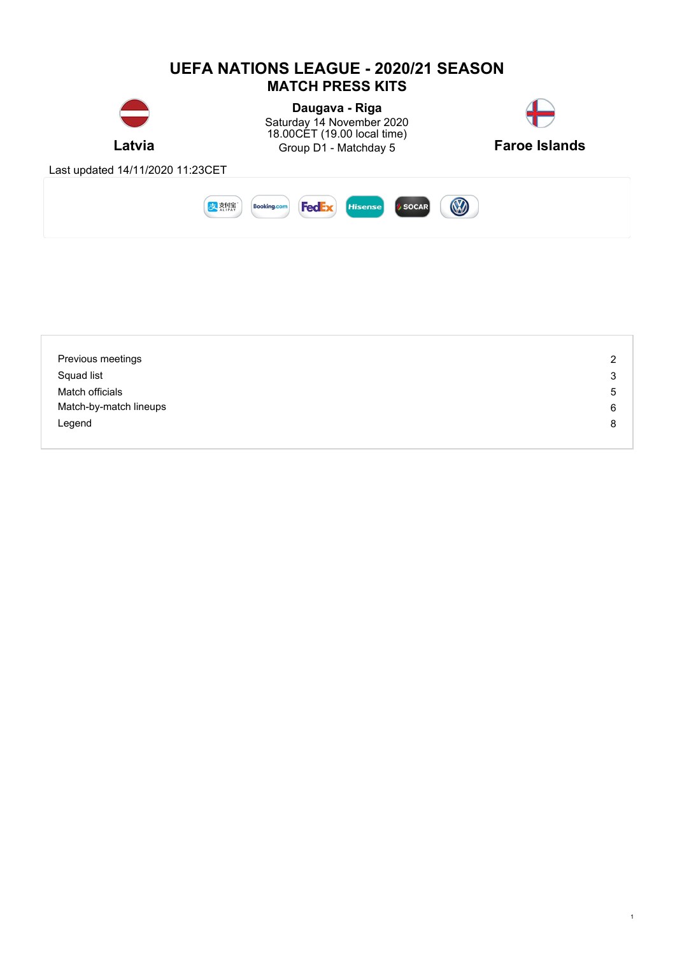

| Previous meetings      | $\overline{2}$ |
|------------------------|----------------|
| Squad list             | 3              |
| Match officials        | 5              |
| Match-by-match lineups | 6              |
| Legend                 | 8              |
|                        |                |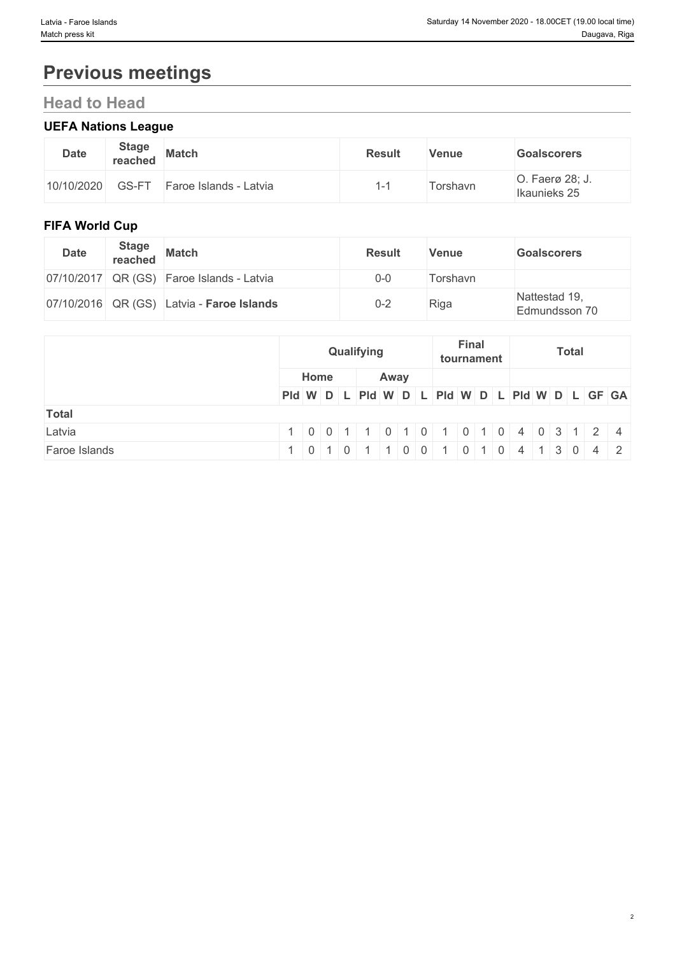# **Previous meetings**

## **Head to Head**

## **UEFA Nations League**

| <b>Date</b> | <b>Stage</b><br>reached | <b>Match</b>           | <b>Result</b> | <b>Venue</b> | <b>Goalscorers</b>              |
|-------------|-------------------------|------------------------|---------------|--------------|---------------------------------|
| 10/10/2020  | GS-FT                   | Faroe Islands - Latvia |               | Forshavn     | O. Faerø 28; J.<br>Ikaunieks 25 |

## **FIFA World Cup**

| <b>Date</b> | <b>Stage</b><br>reached | <b>Match</b>                              | <b>Result</b> | <b>Venue</b> | <b>Goalscorers</b>             |
|-------------|-------------------------|-------------------------------------------|---------------|--------------|--------------------------------|
|             |                         | 07/10/2017 QR (GS) Faroe Islands - Latvia | $0 - 0$       | Torshavn     |                                |
|             |                         | 07/10/2016 QR (GS) Latvia - Faroe Islands | $0 - 2$       | Riga         | Nattestad 19,<br>Edmundsson 70 |

|               | Qualifying                                                                                     | Final<br>tournament                                                            | <b>Total</b> |
|---------------|------------------------------------------------------------------------------------------------|--------------------------------------------------------------------------------|--------------|
|               | Home<br>Away                                                                                   |                                                                                |              |
|               |                                                                                                | PId W D L PId W D L PId W D L PId W D L GF GA                                  |              |
| <b>Total</b>  |                                                                                                |                                                                                |              |
| Latvia        | 1 0 0 1<br>$\begin{array}{\begin{array}{\small \begin{array}{\small \end{array}}}}\end{array}$ | $1 \mid 0 \mid 1 \mid 0 \mid 4 \mid 0 \mid 3 \mid 1 \mid 2 \mid 4$<br> 0 1 0 1 |              |
| Faroe Islands | $\overline{0}$<br>$-1$ 0 $+$                                                                   | 0 1 0 4 13 0 4 2                                                               |              |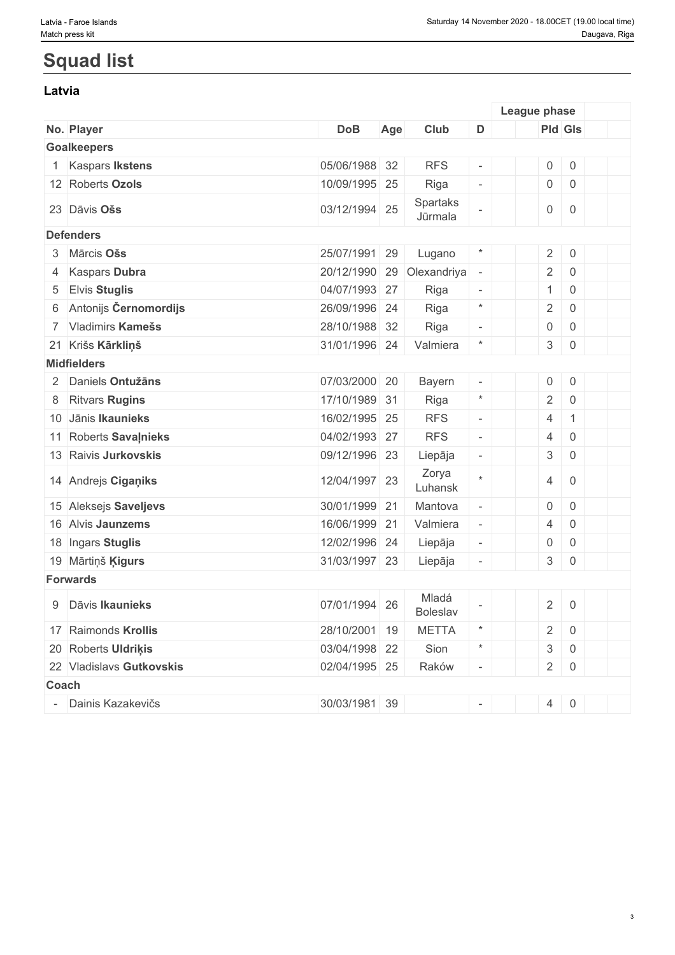## **Squad list**

#### **Latvia**

|                          |                          |               |     |                     |                          | League phase        |                     |  |
|--------------------------|--------------------------|---------------|-----|---------------------|--------------------------|---------------------|---------------------|--|
|                          | No. Player               | <b>DoB</b>    | Age | Club                | D                        | Pld Gls             |                     |  |
|                          | <b>Goalkeepers</b>       |               |     |                     |                          |                     |                     |  |
|                          | <b>Kaspars Ikstens</b>   | 05/06/1988 32 |     | <b>RFS</b>          | $\sim$                   | $\mathsf{O}\xspace$ | $\mathsf{O}\xspace$ |  |
|                          | 12 Roberts Ozols         | 10/09/1995 25 |     | Riga                | $\overline{\phantom{a}}$ | $\mathsf{O}\xspace$ | $\overline{0}$      |  |
|                          | 23 Dāvis Ošs             | 03/12/1994 25 |     | Spartaks<br>Jūrmala |                          | $\mathsf{O}$        | $\overline{0}$      |  |
|                          | <b>Defenders</b>         |               |     |                     |                          |                     |                     |  |
|                          | 3 Mārcis Ošs             | 25/07/1991    | 29  | Lugano              |                          | $\overline{2}$      | $\boldsymbol{0}$    |  |
| 4                        | <b>Kaspars Dubra</b>     | 20/12/1990    |     | 29 Olexandriya      | $\overline{\phantom{a}}$ | $\overline{2}$      | $\mathsf{O}\xspace$ |  |
| 5                        | <b>Elvis Stuglis</b>     | 04/07/1993 27 |     | Riga                | $\overline{\phantom{a}}$ | $\mathbf{1}$        | $\mathbf 0$         |  |
|                          | 6 Antonijs Černomordijs  | 26/09/1996 24 |     | Riga                | $\star$                  | $\overline{2}$      | $\mathbf 0$         |  |
|                          | 7 Vladimirs Kamešs       | 28/10/1988 32 |     | Riga                | $\overline{\phantom{a}}$ | $\boldsymbol{0}$    | $\mathbf 0$         |  |
|                          | 21 Krišs Kārkliņš        | 31/01/1996 24 |     | Valmiera            | $\ast$                   | $\mathbf{3}$        | $\boldsymbol{0}$    |  |
|                          | <b>Midfielders</b>       |               |     |                     |                          |                     |                     |  |
|                          | 2 Daniels Ontužāns       | 07/03/2000 20 |     | Bayern              | $\overline{\phantom{a}}$ | $\mathsf{O}$        | $\boldsymbol{0}$    |  |
| 8                        | <b>Ritvars Rugins</b>    | 17/10/1989 31 |     | Riga                | $\star$                  | $\overline{2}$      | $\mathsf{O}\xspace$ |  |
|                          | 10 Jānis Ikaunieks       | 16/02/1995 25 |     | <b>RFS</b>          | $\sim$                   | $\overline{4}$      | $\mathbf{1}$        |  |
|                          | 11 Roberts Savalnieks    | 04/02/1993 27 |     | <b>RFS</b>          | $\overline{\phantom{a}}$ | $\overline{4}$      | $\boldsymbol{0}$    |  |
|                          | 13 Raivis Jurkovskis     | 09/12/1996 23 |     | Liepāja             | $\overline{\phantom{a}}$ | $\mathfrak{S}$      | $\,0\,$             |  |
|                          | 14 Andrejs Ciganiks      | 12/04/1997 23 |     | Zorya<br>Luhansk    | $\star$                  | $\overline{4}$      | $\overline{0}$      |  |
|                          | 15 Aleksejs Saveljevs    | 30/01/1999 21 |     | Mantova             | $\overline{\phantom{a}}$ | $\boldsymbol{0}$    | $\mathbf 0$         |  |
|                          | 16 Alvis Jaunzems        | 16/06/1999 21 |     | Valmiera            | $\overline{\phantom{a}}$ | $\overline{4}$      | $\boldsymbol{0}$    |  |
|                          | 18 Ingars Stuglis        | 12/02/1996 24 |     | Liepāja             | $\overline{\phantom{a}}$ | $\boldsymbol{0}$    | $\mathbf 0$         |  |
|                          | 19 Mārtiņš Ķigurs        | 31/03/1997 23 |     | Liepāja             | $\overline{\phantom{a}}$ | 3                   | $\boldsymbol{0}$    |  |
|                          | <b>Forwards</b>          |               |     |                     |                          |                     |                     |  |
|                          | 9 Dāvis Ikaunieks        | 07/01/1994 26 |     | Mladá<br>Boleslav   |                          | $\sqrt{2}$          | $\mathbf 0$         |  |
|                          | 17 Raimonds Krollis      | 28/10/2001 19 |     | <b>METTA</b>        | $\star$                  | $\overline{2}$      | $\overline{0}$      |  |
|                          | 20 Roberts Uldriķis      | 03/04/1998 22 |     | Sion                | $\ast$                   | $\mathfrak{S}$      | $\mathsf 0$         |  |
|                          | 22 Vladislavs Gutkovskis | 02/04/1995 25 |     | Raków               | $\overline{\phantom{a}}$ | $2 \mid$            | $\overline{0}$      |  |
| Coach                    |                          |               |     |                     |                          |                     |                     |  |
| $\overline{\phantom{a}}$ | Dainis Kazakevičs        | 30/03/1981 39 |     |                     | $\overline{\phantom{a}}$ |                     | $4 \ 0$             |  |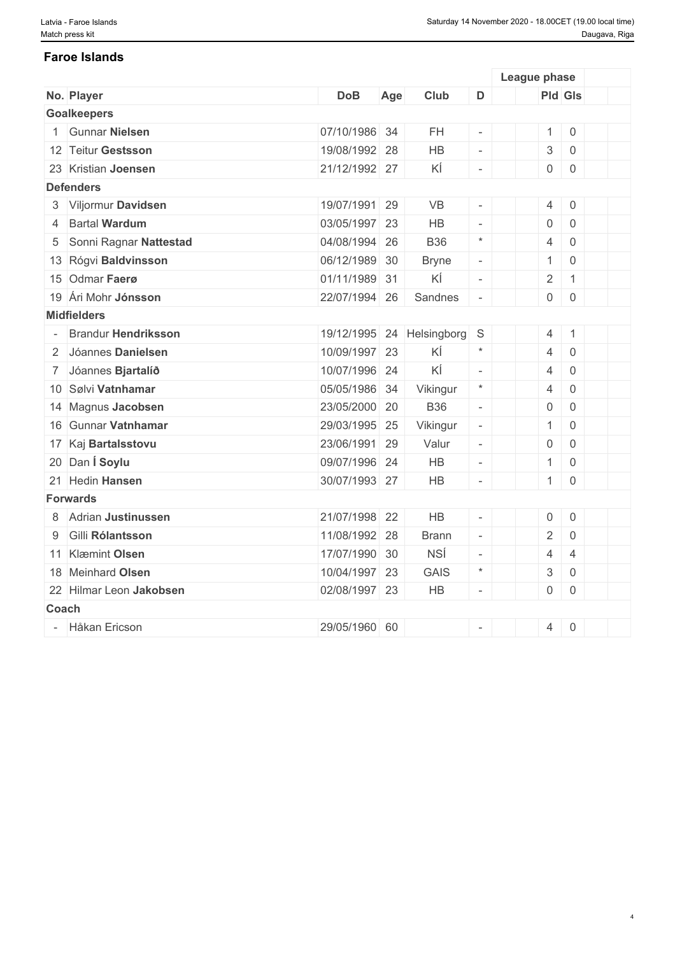#### **Faroe Islands**

|              |                            |               |     |                |                          | League phase        |                     |  |
|--------------|----------------------------|---------------|-----|----------------|--------------------------|---------------------|---------------------|--|
|              | No. Player                 | <b>DoB</b>    | Age | Club           | D                        | Pld Gls             |                     |  |
|              | <b>Goalkeepers</b>         |               |     |                |                          |                     |                     |  |
|              | <b>Gunnar Nielsen</b>      | 07/10/1986 34 |     | <b>FH</b>      |                          | $\mathbf{1}$        | $\,0\,$             |  |
|              | 12 Teitur Gestsson         | 19/08/1992 28 |     | HB             | $\equiv$                 | $\sqrt{3}$          | $\mathbf 0$         |  |
|              | 23 Kristian Joensen        | 21/12/1992 27 |     | ΚÍ             | $\omega$                 | $\mathsf{O}\xspace$ | $\mathbf 0$         |  |
|              | <b>Defenders</b>           |               |     |                |                          |                     |                     |  |
|              | 3 Viljormur Davidsen       | 19/07/1991 29 |     | VB             |                          | $\overline{4}$      | $\mathsf{O}\xspace$ |  |
| 4            | <b>Bartal Wardum</b>       | 03/05/1997 23 |     | <b>HB</b>      | $\mathcal{L}$            | $\mathbf 0$         | $\mathbf 0$         |  |
| 5            | Sonni Ragnar Nattestad     | 04/08/1994 26 |     | <b>B36</b>     | $\star$                  | $\overline{4}$      | $\overline{0}$      |  |
|              | 13 Rógvi Baldvinsson       | 06/12/1989 30 |     | <b>Bryne</b>   | $\overline{\phantom{a}}$ | $\mathbf{1}$        | $\mathbf 0$         |  |
|              | 15 Odmar Faerø             | 01/11/1989 31 |     | ΚÍ             | $\sim$                   | $\overline{2}$      | $\mathbf{1}$        |  |
|              | 19 Ári Mohr Jónsson        | 22/07/1994 26 |     | Sandnes        | $\bar{a}$                | $\mathsf{O}\xspace$ | $\,0\,$             |  |
|              | <b>Midfielders</b>         |               |     |                |                          |                     |                     |  |
|              | <b>Brandur Hendriksson</b> | 19/12/1995    |     | 24 Helsingborg | S                        | $\overline{4}$      | $\mathbf{1}$        |  |
|              | 2 Jóannes Danielsen        | 10/09/1997 23 |     | ΚÍ             | $\star$                  | $\overline{4}$      | $\overline{0}$      |  |
|              | 7 Jóannes Bjartalíð        | 10/07/1996 24 |     | ΚÍ             | $\mathcal{L}$            | 4                   | $\overline{0}$      |  |
|              | 10 Sølvi Vatnhamar         | 05/05/1986 34 |     | Vikingur       | $\star$                  | $\overline{4}$      | $\overline{0}$      |  |
|              | 14 Magnus Jacobsen         | 23/05/2000 20 |     | <b>B36</b>     | $\overline{\phantom{a}}$ | $\mathsf{O}\xspace$ | $\overline{0}$      |  |
|              | 16 Gunnar Vatnhamar        | 29/03/1995 25 |     | Vikingur       | $\overline{\phantom{a}}$ | $\mathbf{1}$        | $\overline{0}$      |  |
|              | 17 Kaj Bartalsstovu        | 23/06/1991 29 |     | Valur          | $\overline{\phantom{a}}$ | $\mathsf{O}\xspace$ | $\overline{0}$      |  |
|              | 20 Dan Í Soylu             | 09/07/1996 24 |     | HB             | $\overline{\phantom{a}}$ | $\mathbf{1}$        | $\overline{0}$      |  |
|              | 21 Hedin Hansen            | 30/07/1993 27 |     | HB             | $\omega$                 | 1                   | $\mathbf 0$         |  |
|              | <b>Forwards</b>            |               |     |                |                          |                     |                     |  |
|              | 8 Adrian Justinussen       | 21/07/1998 22 |     | <b>HB</b>      | $\omega$                 | $\mathbf 0$         | $\mathbf 0$         |  |
| 9            | Gilli Rólantsson           | 11/08/1992 28 |     | <b>Brann</b>   | $\overline{\phantom{a}}$ | $\overline{2}$      | $\mathbf 0$         |  |
|              | 11 Klæmint Olsen           | 17/07/1990 30 |     | <b>NSÍ</b>     | $\overline{\phantom{a}}$ | 4                   | $\overline{4}$      |  |
|              | 18 Meinhard Olsen          | 10/04/1997 23 |     | <b>GAIS</b>    | $\star$                  | $\sqrt{3}$          | $\mathbf 0$         |  |
|              | 22 Hilmar Leon Jakobsen    | 02/08/1997 23 |     | HB             | $\sim$                   | $\mathsf{O}\xspace$ | $\mathbf 0$         |  |
| <b>Coach</b> |                            |               |     |                |                          |                     |                     |  |
|              | - Håkan Ericson            | 29/05/1960 60 |     |                |                          | $\overline{4}$      | $\mathbf 0$         |  |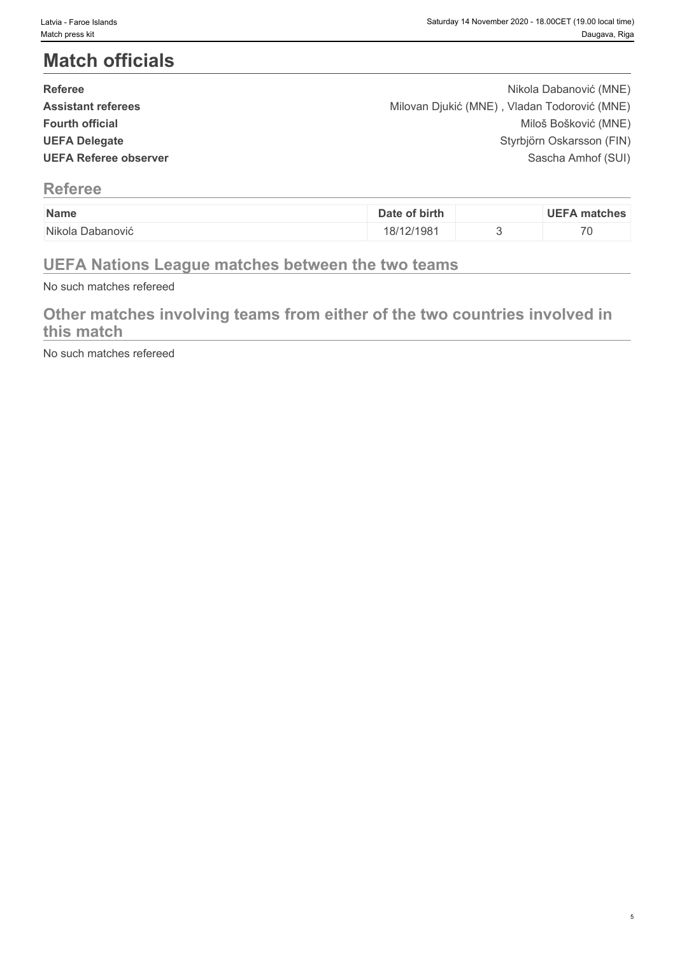# **Match officials**

| <b>Referee</b>               | Nikola Dabanović (MNE)                       |  |
|------------------------------|----------------------------------------------|--|
| <b>Assistant referees</b>    | Milovan Djukić (MNE), Vladan Todorović (MNE) |  |
| <b>Fourth official</b>       | Miloš Bošković (MNE)                         |  |
| <b>UEFA Delegate</b>         | Styrbjörn Oskarsson (FIN)                    |  |
| <b>UEFA Referee observer</b> | Sascha Amhof (SUI)                           |  |
|                              |                                              |  |

### **Referee**

| Name      | of birth<br>Date | UEF/<br>matches          |
|-----------|------------------|--------------------------|
| Nikola    |                  |                          |
| Jabanović | /12/198          | $\overline{\phantom{0}}$ |
|           | o                | - 12                     |
|           |                  |                          |

## **UEFA Nations League matches between the two teams**

No such matches refereed

## **Other matches involving teams from either of the two countries involved in this match**

No such matches refereed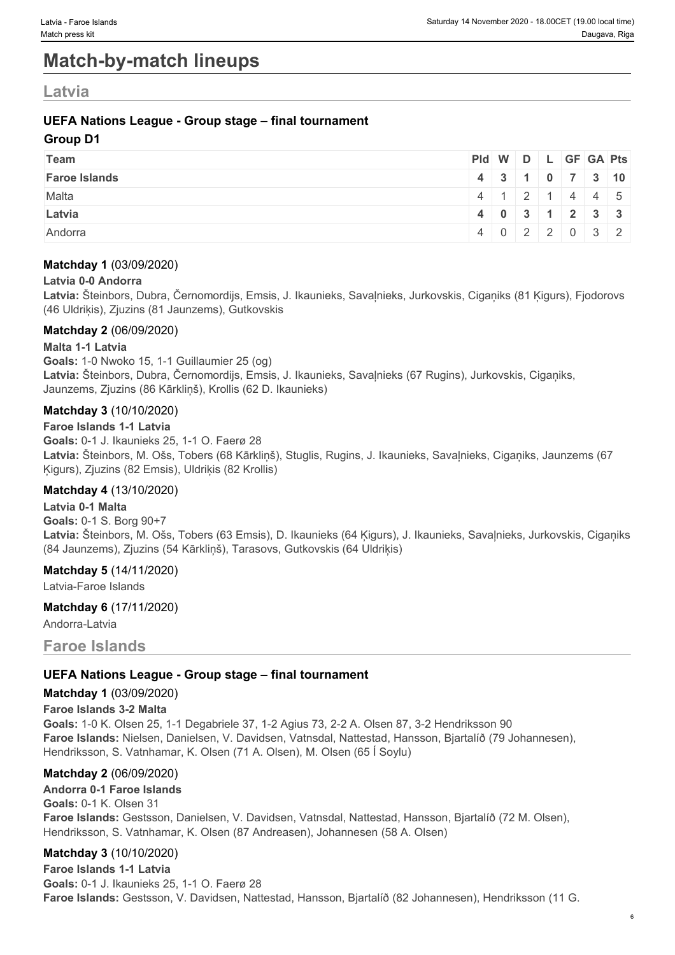## **Match-by-match lineups**

## **Latvia**

#### **UEFA Nations League - Group stage – final tournament**

#### **Group D1**

| Team                 | Pid W D L GF GA Pts |                                               |  |  |  |
|----------------------|---------------------|-----------------------------------------------|--|--|--|
| <b>Faroe Islands</b> |                     | 4 3 1 0 7 3 10                                |  |  |  |
| Malta                |                     | $4 \mid 1 \mid 2 \mid 1 \mid 4 \mid 4 \mid 5$ |  |  |  |
| Latvia               |                     | 40311233                                      |  |  |  |
| Andorra              |                     | 4 0 2 2 0 3 2                                 |  |  |  |

#### **Matchday 1** (03/09/2020)

#### **Latvia 0-0 Andorra**

**Latvia:** Šteinbors, Dubra, Černomordijs, Emsis, J. Ikaunieks, Savaļnieks, Jurkovskis, Cigaņiks (81 Ķigurs), Fjodorovs (46 Uldriķis), Zjuzins (81 Jaunzems), Gutkovskis

#### **Matchday 2** (06/09/2020)

**Malta 1-1 Latvia Goals:** 1-0 Nwoko 15, 1-1 Guillaumier 25 (og) **Latvia:** Šteinbors, Dubra, Černomordijs, Emsis, J. Ikaunieks, Savaļnieks (67 Rugins), Jurkovskis, Cigaņiks, Jaunzems, Zjuzins (86 Kārkliņš), Krollis (62 D. Ikaunieks)

#### **Matchday 3** (10/10/2020)

**Faroe Islands 1-1 Latvia Goals:** 0-1 J. Ikaunieks 25, 1-1 O. Faerø 28 **Latvia:** Šteinbors, M. Ošs, Tobers (68 Kārkliņš), Stuglis, Rugins, J. Ikaunieks, Savaļnieks, Cigaņiks, Jaunzems (67 Ķigurs), Zjuzins (82 Emsis), Uldriķis (82 Krollis)

#### **Matchday 4** (13/10/2020)

**Latvia 0-1 Malta Goals:** 0-1 S. Borg 90+7 **Latvia:** Šteinbors, M. Ošs, Tobers (63 Emsis), D. Ikaunieks (64 Ķigurs), J. Ikaunieks, Savaļnieks, Jurkovskis, Cigaņiks (84 Jaunzems), Zjuzins (54 Kārkliņš), Tarasovs, Gutkovskis (64 Uldriķis)

#### **Matchday 5** (14/11/2020)

Latvia-Faroe Islands

#### **Matchday 6** (17/11/2020)

Andorra-Latvia

#### **Faroe Islands**

#### **UEFA Nations League - Group stage – final tournament**

#### **Matchday 1** (03/09/2020)

#### **Faroe Islands 3-2 Malta**

**Goals:** 1-0 K. Olsen 25, 1-1 Degabriele 37, 1-2 Agius 73, 2-2 A. Olsen 87, 3-2 Hendriksson 90 **Faroe Islands:** Nielsen, Danielsen, V. Davidsen, Vatnsdal, Nattestad, Hansson, Bjartalíð (79 Johannesen), Hendriksson, S. Vatnhamar, K. Olsen (71 A. Olsen), M. Olsen (65 Í Soylu)

#### **Matchday 2** (06/09/2020)

#### **Andorra 0-1 Faroe Islands**

**Goals:** 0-1 K. Olsen 31 **Faroe Islands:** Gestsson, Danielsen, V. Davidsen, Vatnsdal, Nattestad, Hansson, Bjartalíð (72 M. Olsen), Hendriksson, S. Vatnhamar, K. Olsen (87 Andreasen), Johannesen (58 A. Olsen)

#### **Matchday 3** (10/10/2020)

**Faroe Islands 1-1 Latvia Goals:** 0-1 J. Ikaunieks 25, 1-1 O. Faerø 28 **Faroe Islands:** Gestsson, V. Davidsen, Nattestad, Hansson, Bjartalíð (82 Johannesen), Hendriksson (11 G.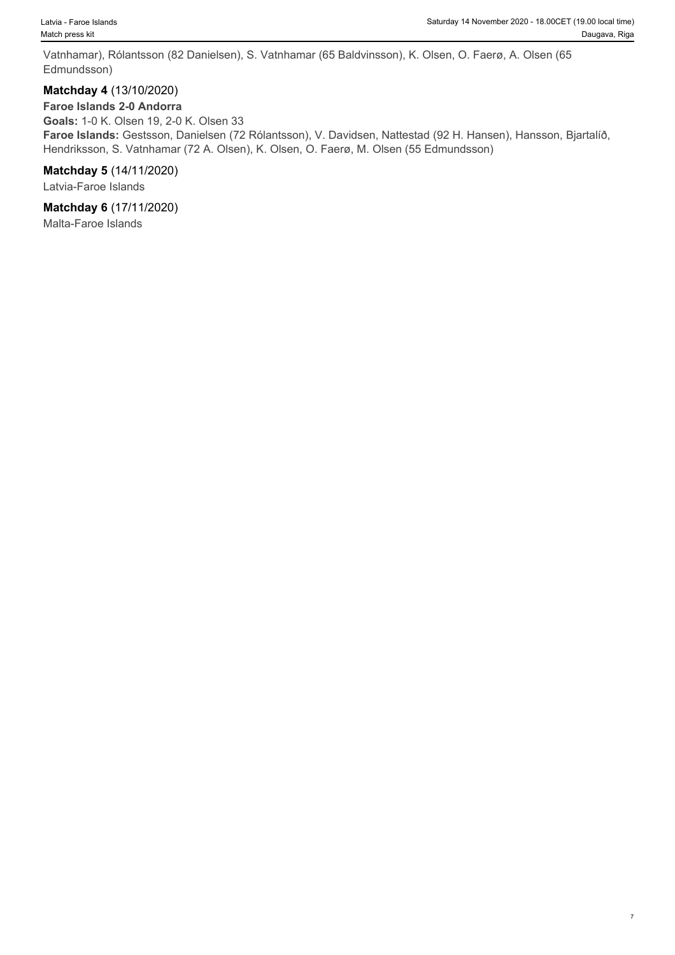Vatnhamar), Rólantsson (82 Danielsen), S. Vatnhamar (65 Baldvinsson), K. Olsen, O. Faerø, A. Olsen (65 Edmundsson)

#### **Matchday 4** (13/10/2020)

#### **Faroe Islands 2-0 Andorra**

**Goals:** 1-0 K. Olsen 19, 2-0 K. Olsen 33 **Faroe Islands:** Gestsson, Danielsen (72 Rólantsson), V. Davidsen, Nattestad (92 H. Hansen), Hansson, Bjartalíð, Hendriksson, S. Vatnhamar (72 A. Olsen), K. Olsen, O. Faerø, M. Olsen (55 Edmundsson)

#### **Matchday 5** (14/11/2020)

Latvia-Faroe Islands

#### **Matchday 6** (17/11/2020)

Malta-Faroe Islands